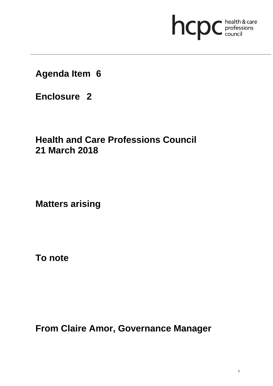# hcpc health & care

**Agenda Item 6**

**Enclosure 2**

# **Health and Care Professions Council 21 March 2018**

**Matters arising**

**To note**

**From Claire Amor, Governance Manager**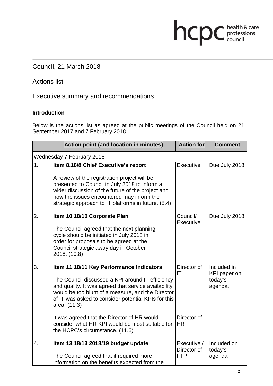# Council, 21 March 2018

## Actions list

Executive summary and recommendations

#### **Introduction**

Below is the actions list as agreed at the public meetings of the Council held on 21 September 2017 and 7 February 2018.

|                           | <b>Action point (and location in minutes)</b>                                                                                                                                                                                                          | <b>Action for</b>         | <b>Comment</b>              |  |  |
|---------------------------|--------------------------------------------------------------------------------------------------------------------------------------------------------------------------------------------------------------------------------------------------------|---------------------------|-----------------------------|--|--|
| Wednesday 7 February 2018 |                                                                                                                                                                                                                                                        |                           |                             |  |  |
| 1.                        | Item 8.18/8 Chief Executive's report                                                                                                                                                                                                                   | Executive                 | Due July 2018               |  |  |
|                           | A review of the registration project will be<br>presented to Council in July 2018 to inform a<br>wider discussion of the future of the project and<br>how the issues encountered may inform the<br>strategic approach to IT platforms in future. (8.4) |                           |                             |  |  |
| 2.                        | Item 10.18/10 Corporate Plan                                                                                                                                                                                                                           | Council/<br>Executive     | Due July 2018               |  |  |
|                           | The Council agreed that the next planning<br>cycle should be initiated in July 2018 in<br>order for proposals to be agreed at the<br>Council strategic away day in October<br>2018. (10.8)                                                             |                           |                             |  |  |
| 3.                        | Item 11.18/11 Key Performance Indicators                                                                                                                                                                                                               | Director of<br>IT         | Included in<br>KPI paper on |  |  |
|                           | The Council discussed a KPI around IT efficiency<br>and quality. It was agreed that service availability<br>would be too blunt of a measure, and the Director<br>of IT was asked to consider potential KPIs for this<br>area. (11.3)                   |                           | today's<br>agenda.          |  |  |
|                           | It was agreed that the Director of HR would<br>consider what HR KPI would be most suitable for<br>the HCPC's circumstance. (11.6)                                                                                                                      | Director of<br><b>HR</b>  |                             |  |  |
| $\overline{4}$ .          | Item 13.18/13 2018/19 budget update                                                                                                                                                                                                                    | Executive /               | Included on                 |  |  |
|                           | The Council agreed that it required more<br>information on the benefits expected from the                                                                                                                                                              | Director of<br><b>FTP</b> | today's<br>agenda           |  |  |

hcpc health & care